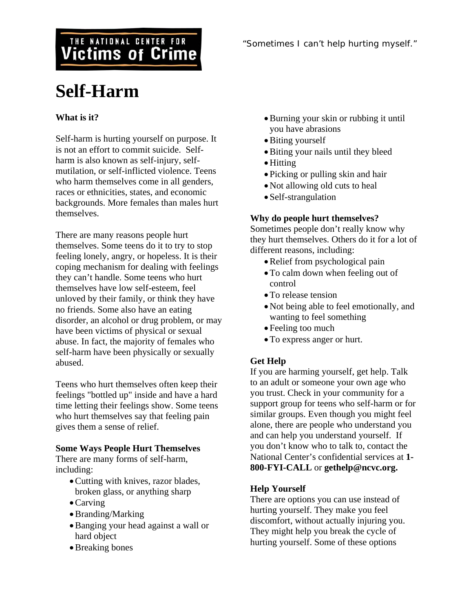# THE NATIONAL CENTER FOR **Victims of Crime**

# **Self-Harm**

# **What is it?**

Self-harm is hurting yourself on purpose. It is not an effort to commit suicide. Selfharm is also known as self-injury, selfmutilation, or self-inflicted violence. Teens who harm themselves come in all genders, races or ethnicities, states, and economic backgrounds. More females than males hurt themselves.

There are many reasons people hurt themselves. Some teens do it to try to stop feeling lonely, angry, or hopeless. It is their coping mechanism for dealing with feelings they can't handle. Some teens who hurt themselves have low self-esteem, feel unloved by their family, or think they have no friends. Some also have an eating disorder, an alcohol or drug problem, or may have been victims of physical or sexual abuse. In fact, the majority of females who self-harm have been physically or sexually abused.

Teens who hurt themselves often keep their feelings "bottled up" inside and have a hard time letting their feelings show. Some teens who hurt themselves say that feeling pain gives them a sense of relief.

#### **Some Ways People Hurt Themselves**

There are many forms of self-harm, including:

- •Cutting with knives, razor blades, broken glass, or anything sharp
- •Carving
- •Branding/Marking
- •Banging your head against a wall or hard object
- •Breaking bones
- •Burning your skin or rubbing it until you have abrasions
- Biting yourself
- •Biting your nails until they bleed
- •Hitting
- Picking or pulling skin and hair
- Not allowing old cuts to heal
- Self-strangulation

#### **Why do people hurt themselves?**

Sometimes people don't really know why they hurt themselves. Others do it for a lot of different reasons, including:

- •Relief from psychological pain
- •To calm down when feeling out of control
- To release tension
- •Not being able to feel emotionally, and wanting to feel something
- Feeling too much
- •To express anger or hurt.

## **Get Help**

If you are harming yourself, get help. Talk to an adult or someone your own age who you trust. Check in your community for a support group for teens who self-harm or for similar groups. Even though you might feel alone, there are people who understand you and can help you understand yourself. If you don't know who to talk to, contact the National Center's confidential services at **1- 800-FYI-CALL** or **gethelp@ncvc.org.**

## **Help Yourself**

There are options you can use instead of hurting yourself. They make you feel discomfort, without actually injuring you. They might help you break the cycle of hurting yourself. Some of these options